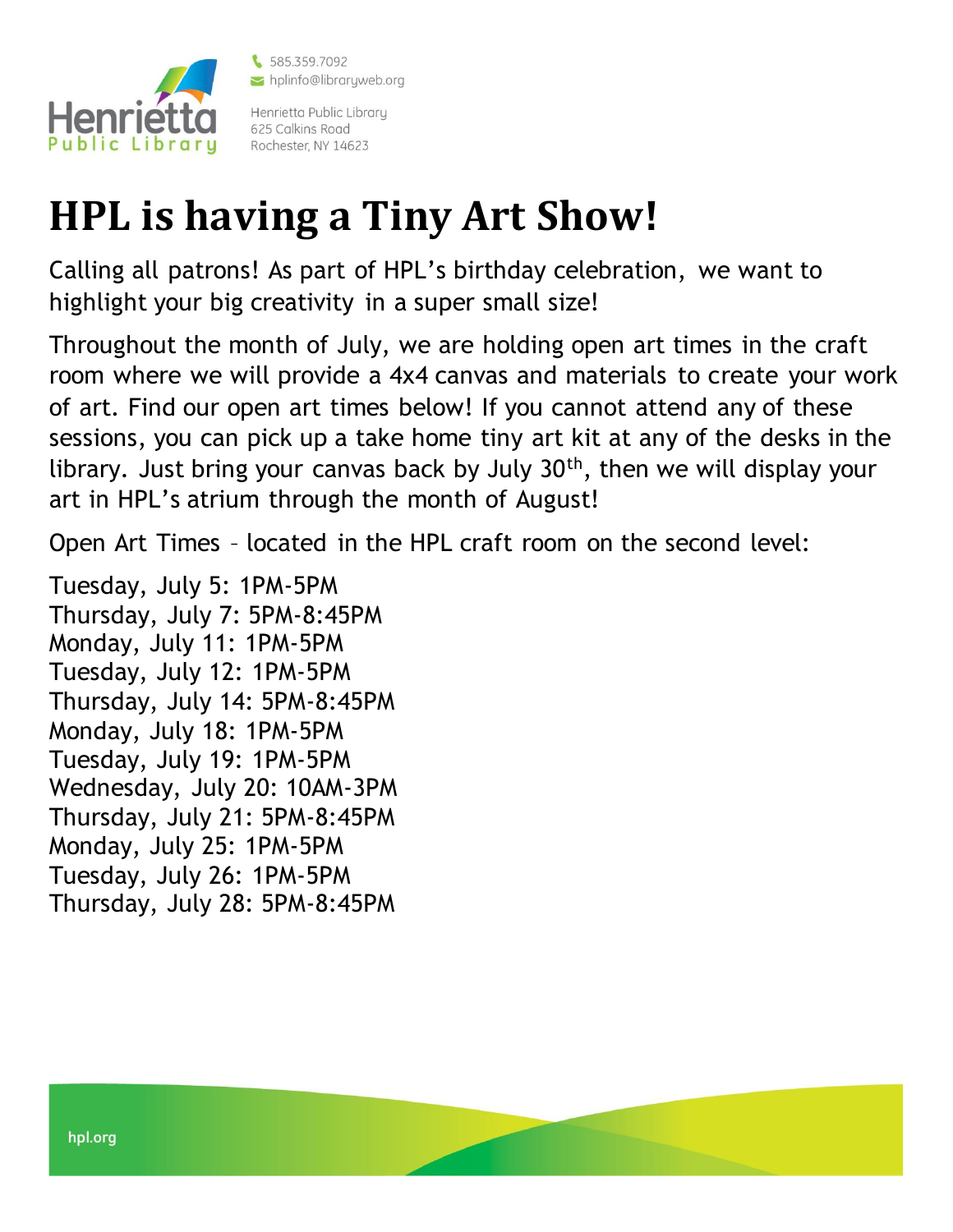

\$585.359.7092 hplinfo@libraryweb.org

Henrietta Public Library 625 Calkins Road Rochester, NY 14623

## **HPL is having a Tiny Art Show!**

Calling all patrons! As part of HPL's birthday celebration, we want to highlight your big creativity in a super small size!

Throughout the month of July, we are holding open art times in the craft room where we will provide a 4x4 canvas and materials to create your work of art. Find our open art times below! If you cannot attend any of these sessions, you can pick up a take home tiny art kit at any of the desks in the library. Just bring your canvas back by July  $30<sup>th</sup>$ , then we will display your art in HPL's atrium through the month of August!

Open Art Times – located in the HPL craft room on the second level:

Tuesday, July 5: 1PM-5PM Thursday, July 7: 5PM-8:45PM Monday, July 11: 1PM-5PM Tuesday, July 12: 1PM-5PM Thursday, July 14: 5PM-8:45PM Monday, July 18: 1PM-5PM Tuesday, July 19: 1PM-5PM Wednesday, July 20: 10AM-3PM Thursday, July 21: 5PM-8:45PM Monday, July 25: 1PM-5PM Tuesday, July 26: 1PM-5PM Thursday, July 28: 5PM-8:45PM